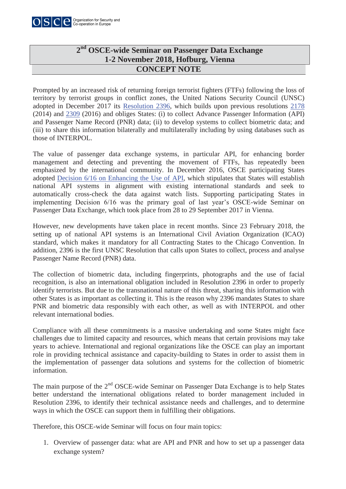

## **CONCEPT NOTE 2nd OSCE-wide Seminar on Passenger Data Exchange 1-2 November 2018, Hofburg, Vienna**

Prompted by an increased risk of returning foreign terrorist fighters (FTFs) following the loss of territory by terrorist groups in conflict zones, the United Nations Security Council (UNSC) adopted in December 2017 its Resolution 2396, which builds upon previous resolutions 2178 (2014) and 2309 (2016) and obliges States: (i) to collect Advance Passenger Information (API) and Passenger Name Record (PNR) data; (ii) to develop systems to collect biometric data; and (iii) to share this information bilaterally and multilaterally including by using databases such as those of INTERPOL.

The value of passenger data exchange systems, in particular API, for enhancing border management and detecting and preventing the movement of FTFs, has repeatedly been emphasized by the international community. In December 2016, OSCE participating States adopted Decision 6/16 on Enhancing the Use of API, which stipulates that States will establish national API systems in alignment with existing international standards and seek to automatically cross-check the data against watch lists. Supporting participating States in implementing Decision 6/16 was the primary goal of last year's OSCE-wide Seminar on Passenger Data Exchange, which took place from 28 to 29 September 2017 in Vienna.

However, new developments have taken place in recent months. Since 23 February 2018, the setting up of national API systems is an International Civil Aviation Organization (ICAO) standard, which makes it mandatory for all Contracting States to the Chicago Convention. In addition, 2396 is the first UNSC Resolution that calls upon States to collect, process and analyse Passenger Name Record (PNR) data.

The collection of biometric data, including fingerprints, photographs and the use of facial recognition, is also an international obligation included in Resolution 2396 in order to properly identify terrorists. But due to the transnational nature of this threat, sharing this information with other States is as important as collecting it. This is the reason why 2396 mandates States to share PNR and biometric data responsibly with each other, as well as with INTERPOL and other relevant international bodies.

Compliance with all these commitments is a massive undertaking and some States might face challenges due to limited capacity and resources, which means that certain provisions may take years to achieve. International and regional organizations like the OSCE can play an important role in providing technical assistance and capacity-building to States in order to assist them in the implementation of passenger data solutions and systems for the collection of biometric information.

The main purpose of the 2<sup>nd</sup> OSCE-wide Seminar on Passenger Data Exchange is to help States better understand the international obligations related to border management included in Resolution 2396, to identify their technical assistance needs and challenges, and to determine ways in which the OSCE can support them in fulfilling their obligations.

Therefore, this OSCE-wide Seminar will focus on four main topics:

1. Overview of passenger data: what are API and PNR and how to set up a passenger data exchange system?